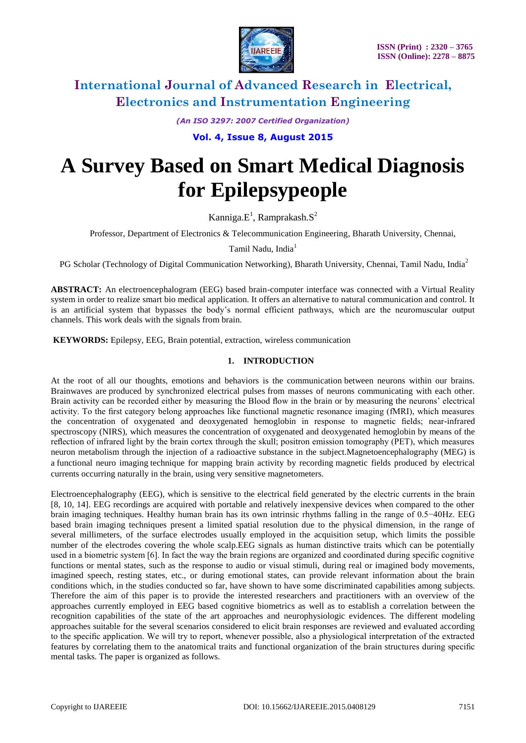

*(An ISO 3297: 2007 Certified Organization)*

**Vol. 4, Issue 8, August 2015**

# **A Survey Based on Smart Medical Diagnosis for Epilepsypeople**

Kanniga. $E^1$ , Ramprakash. $S^2$ 

Professor, Department of Electronics & Telecommunication Engineering, Bharath University, Chennai,

Tamil Nadu, India<sup>1</sup>

PG Scholar (Technology of Digital Communication Networking), Bharath University, Chennai, Tamil Nadu, India<sup>2</sup>

**ABSTRACT:** An electroencephalogram (EEG) based brain-computer interface was connected with a Virtual Reality system in order to realize smart bio medical application. It offers an alternative to natural communication and control. It is an artificial system that bypasses the body"s normal efficient pathways, which are the neuromuscular output channels. This work deals with the signals from brain.

**KEYWORDS:** Epilepsy, EEG, Brain potential, extraction, wireless communication

#### **1. INTRODUCTION**

At the root of all our thoughts, emotions and behaviors is the communication between neurons within our brains. Brainwaves are produced by synchronized electrical pulses from masses of neurons communicating with each other. Brain activity can be recorded either by measuring the Blood flow in the brain or by measuring the neurons" electrical activity. To the first category belong approaches like functional magnetic resonance imaging (fMRI), which measures the concentration of oxygenated and deoxygenated hemoglobin in response to magnetic fields; near-infrared spectroscopy (NIRS), which measures the concentration of oxygenated and deoxygenated hemoglobin by means of the reflection of infrared light by the brain cortex through the skull; positron emission tomography (PET), which measures neuron metabolism through the injection of a radioactive substance in the subject.Magnetoencephalography (MEG) is a functional neuro imaging technique for mapping brain activity by recording magnetic fields produced by electrical currents occurring naturally in the brain, using very sensitive magnetometers.

Electroencephalography (EEG), which is sensitive to the electrical field generated by the electric currents in the brain [8, 10, 14]. EEG recordings are acquired with portable and relatively inexpensive devices when compared to the other brain imaging techniques. Healthy human brain has its own intrinsic rhythms falling in the range of 0.5−40Hz. EEG based brain imaging techniques present a limited spatial resolution due to the physical dimension, in the range of several millimeters, of the surface electrodes usually employed in the acquisition setup, which limits the possible number of the electrodes covering the whole scalp.EEG signals as human distinctive traits which can be potentially used in a biometric system [6]. In fact the way the brain regions are organized and coordinated during specific cognitive functions or mental states, such as the response to audio or visual stimuli, during real or imagined body movements, imagined speech, resting states, etc., or during emotional states, can provide relevant information about the brain conditions which, in the studies conducted so far, have shown to have some discriminated capabilities among subjects. Therefore the aim of this paper is to provide the interested researchers and practitioners with an overview of the approaches currently employed in EEG based cognitive biometrics as well as to establish a correlation between the recognition capabilities of the state of the art approaches and neurophysiologic evidences. The different modeling approaches suitable for the several scenarios considered to elicit brain responses are reviewed and evaluated according to the specific application. We will try to report, whenever possible, also a physiological interpretation of the extracted features by correlating them to the anatomical traits and functional organization of the brain structures during specific mental tasks. The paper is organized as follows.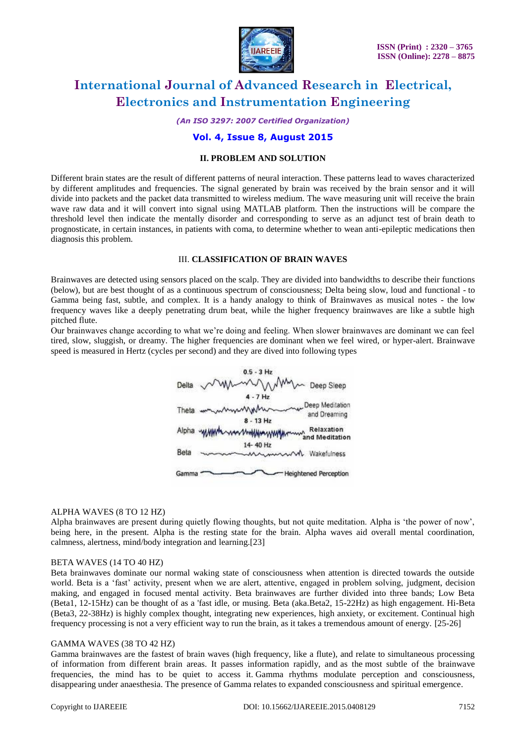

*(An ISO 3297: 2007 Certified Organization)*

### **Vol. 4, Issue 8, August 2015**

#### **II. PROBLEM AND SOLUTION**

Different brain states are the result of different patterns of neural interaction. These patterns lead to waves characterized by different amplitudes and frequencies. The signal generated by brain was received by the brain sensor and it will divide into packets and the packet data transmitted to wireless medium. The wave measuring unit will receive the brain wave raw data and it will convert into signal using MATLAB platform. Then the instructions will be compare the threshold level then indicate the mentally disorder and corresponding to serve as an adjunct test of [brain death](http://en.wikipedia.org/wiki/Brain_death) to prognosticate, in certain instances, in patients with coma, to determine whether to wean anti-epileptic medications then diagnosis this problem.

#### III. **CLASSIFICATION OF BRAIN WAVES**

Brainwaves are detected using sensors placed on the scalp. They are divided into bandwidths to describe their functions (below), but are best thought of as a continuous spectrum of consciousness; Delta being slow, loud and functional - to Gamma being fast, subtle, and complex. It is a handy analogy to think of Brainwaves as musical notes - the low frequency waves like a deeply penetrating drum beat, while the higher frequency brainwaves are like a subtle high pitched flute.

Our brainwaves change according to what we"re doing and feeling. When slower brainwaves are dominant we can feel tired, slow, sluggish, or dreamy. The higher frequencies are dominant when we feel wired, or hyper-alert. Brainwave speed is measured in Hertz (cycles per second) and they are dived into following types



#### ALPHA WAVES (8 TO 12 HZ)

Alpha brainwaves are present during quietly flowing thoughts, but not quite meditation. Alpha is "the power of now", being here, in the present. Alpha is the resting state for the brain. Alpha waves aid overall mental coordination, calmness, alertness, mind/body integration and learning.[23]

#### BETA WAVES (14 TO 40 HZ)

Beta brainwaves dominate our normal waking state of consciousness when attention is directed towards the outside world. Beta is a "fast" activity, present when we are alert, attentive, engaged in problem solving, judgment, decision making, and engaged in focused mental activity. Beta brainwaves are further divided into three bands; Low Beta (Beta1, 12-15Hz) can be thought of as a 'fast idle, or musing. Beta (aka.Beta2, 15-22Hz) as high engagement. Hi-Beta (Beta3, 22-38Hz) is highly complex thought, integrating new experiences, high anxiety, or excitement. Continual high frequency processing is not a very efficient way to run the brain, as it takes a tremendous amount of energy. [25-26]

#### GAMMA WAVES (38 TO 42 HZ)

Gamma brainwaves are the fastest of brain waves (high frequency, like a flute), and relate to simultaneous processing of information from different brain areas. It passes information rapidly, and as the most subtle of the brainwave frequencies, the mind has to be quiet to access it. Gamma rhythms modulate perception and consciousness, disappearing under anaesthesia. The presence of Gamma relates to expanded consciousness and [spiritual emergence.](http://www.brainworksneurotherapy.com/neurofeedback-spiritual-development)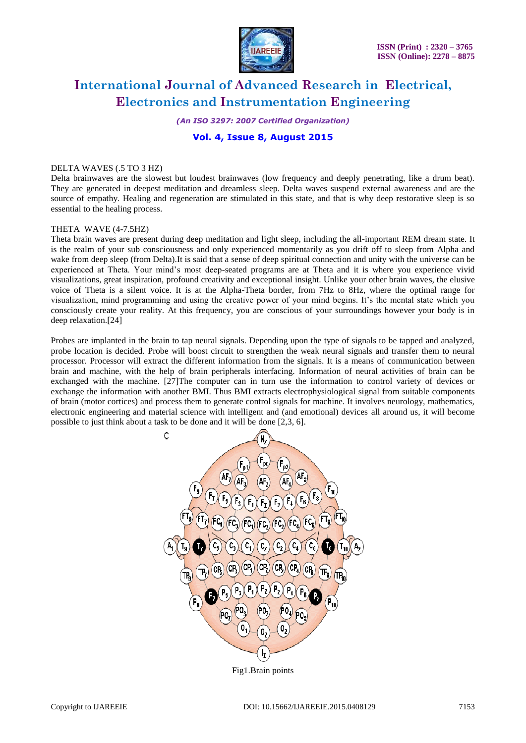

*(An ISO 3297: 2007 Certified Organization)*

### **Vol. 4, Issue 8, August 2015**

#### DELTA WAVES (.5 TO 3 HZ)

Delta brainwaves are the slowest but loudest brainwaves (low frequency and deeply penetrating, like a drum beat). They are generated in deepest meditation and dreamless sleep. Delta waves suspend external awareness and are the source of empathy. Healing and regeneration are stimulated in this state, and that is why deep restorative sleep is so essential to the healing process.

#### THETA WAVE (4-7.5HZ)

Theta brain waves are present during deep meditation and light sleep, including the all-important REM dream state. It is the realm of your sub consciousness and only experienced momentarily as you drift off to sleep from Alpha and wake from deep sleep (from Delta).It is said that a sense of deep spiritual connection and unity with the universe can be experienced at Theta. Your mind"s most deep-seated programs are at Theta and it is where you experience vivid visualizations, great inspiration, profound creativity and exceptional insight. Unlike your other brain waves, the elusive voice of Theta is a silent voice. It is at the Alpha-Theta border, from 7Hz to 8Hz, where the optimal range for visualization, mind programming and using the creative power of your mind begins. It"s the mental state which you consciously create your reality. At this frequency, you are conscious of your surroundings however your body is in deep relaxation.[24]

Probes are implanted in the brain to tap neural signals. Depending upon the type of signals to be tapped and analyzed, probe location is decided. Probe will boost circuit to strengthen the weak neural signals and transfer them to neural processor. Processor will extract the different information from the signals. It is a means of communication between brain and machine, with the help of brain peripherals interfacing. Information of neural activities of brain can be exchanged with the machine. [27]The computer can in turn use the information to control variety of devices or exchange the information with another BMI. Thus BMI extracts electrophysiological signal from suitable components of brain (motor cortices) and process them to generate control signals for machine. It involves neurology, mathematics, electronic engineering and material science with intelligent and (and emotional) devices all around us, it will become possible to just think about a task to be done and it will be done [2,3, 6].



Fig1.Brain points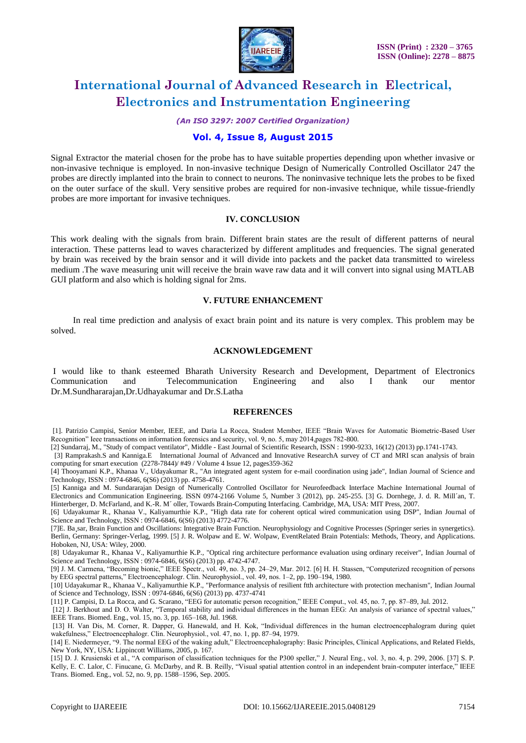

*(An ISO 3297: 2007 Certified Organization)*

### **Vol. 4, Issue 8, August 2015**

Signal Extractor the material chosen for the probe has to have suitable properties depending upon whether invasive or non-invasive technique is employed. In non-invasive technique Design of Numerically Controlled Oscillator 247 the probes are directly implanted into the brain to connect to neurons. The noninvasive technique lets the probes to be fixed on the outer surface of the skull. Very sensitive probes are required for non-invasive technique, while tissue-friendly probes are more important for invasive techniques.

#### **IV. CONCLUSION**

This work dealing with the signals from brain. Different brain states are the result of different patterns of neural interaction. These patterns lead to waves characterized by different amplitudes and frequencies. The signal generated by brain was received by the brain sensor and it will divide into packets and the packet data transmitted to wireless medium .The wave measuring unit will receive the brain wave raw data and it will convert into signal using MATLAB GUI platform and also which is holding signal for 2ms.

#### **V. FUTURE ENHANCEMENT**

 In real time prediction and analysis of exact brain point and its nature is very complex. This problem may be solved.

#### **ACKNOWLEDGEMENT**

I would like to thank esteemed Bharath University Research and Development, Department of Electronics Communication and Telecommunication Engineering and also I thank our mentor Dr.M.Sundhararajan,Dr.Udhayakumar and Dr.S.Latha

#### **REFERENCES**

[1]. Patrizio Campisi, Senior Member, IEEE, and Daria La Rocca, Student Member, IEEE "Brain Waves for Automatic Biometric-Based User Recognition" Ieee transactions on information forensics and security, vol. 9, no. 5, may 2014,pages 782-800.

[2] Sundarraj, M., "Study of compact ventilator", Middle - East Journal of Scientific Research, ISSN : 1990-9233, 16(12) (2013) pp.1741-1743.

 [3] Ramprakash.S and Kanniga.E International Journal of Advanced and Innovative ResearchA survey of CT and MRI scan analysis of brain computing for smart execution (2278-7844)/ #49 / Volume 4 Issue 12, pages359-362

[4] Thooyamani K.P., Khanaa V., Udayakumar R., "An integrated agent system for e-mail coordination using jade", Indian Journal of Science and Technology, ISSN : 0974-6846, 6(S6) (2013) pp. 4758-4761.

[5] Kanniga and M. Sundararajan Design of Numerically Controlled Oscillator for Neurofeedback Interface Machine International Journal of Electronics and Communication Engineering. ISSN 0974-2166 Volume 5, Number 3 (2012), pp. 245-255. [3] G. Dornhege, J. d. R. Mill´an, T. Hinterberger, D. McFarland, and K.-R. M´ oller, Towards Brain-Computing Interfacing. Cambridge, MA, USA: MIT Press, 2007.

[6] Udayakumar R., Khanaa V., Kaliyamurthie K.P., "High data rate for coherent optical wired communication using DSP", Indian Journal of Science and Technology, ISSN : 0974-6846, 6(S6) (2013) 4772-4776.

[7]E. Ba¸sar, Brain Function and Oscillations: Integrative Brain Function. Neurophysiology and Cognitive Processes (Springer series in synergetics). Berlin, Germany: Springer-Verlag, 1999. [5] J. R. Wolpaw and E. W. Wolpaw, EventRelated Brain Potentials: Methods, Theory, and Applications. Hoboken, NJ, USA: Wiley, 2000.

[8] Udayakumar R., Khanaa V., Kaliyamurthie K.P., "Optical ring architecture performance evaluation using ordinary receiver", Indian Journal of Science and Technology, ISSN : 0974-6846, 6(S6) (2013) pp. 4742-4747.

[9] J. M. Carmena, "Becoming bionic," IEEE Spectr., vol. 49, no. 3, pp. 24–29, Mar. 2012. [6] H. H. Stassen, "Computerized recognition of persons by EEG spectral patterns," Electroencephalogr. Clin. Neurophysiol., vol. 49, nos. 1–2, pp. 190–194, 1980.

[10] Udayakumar R., Khanaa V., Kaliyamurthie K.P., "Performance analysis of resilient ftth architecture with protection mechanism", Indian Journal of Science and Technology, ISSN : 0974-6846, 6(S6) (2013) pp. 4737-4741

[11] P. Campisi, D. La Rocca, and G. Scarano, "EEG for automatic person recognition," IEEE Comput., vol. 45, no. 7, pp. 87–89, Jul. 2012.

[12] J. Berkhout and D. O. Walter, "Temporal stability and individual differences in the human EEG: An analysis of variance of spectral values," IEEE Trans. Biomed. Eng., vol. 15, no. 3, pp. 165–168, Jul. 1968.

[13] H. Van Dis, M. Corner, R. Dapper, G. Hanewald, and H. Kok, "Individual differences in the human electroencephalogram during quiet wakefulness," Electroencephalogr. Clin. Neurophysiol., vol. 47, no. 1, pp. 87–94, 1979.

[14] E. Niedermeyer, "9. The normal EEG of the waking adult," Electroencephalography: Basic Principles, Clinical Applications, and Related Fields, New York, NY, USA: Lippincott Williams, 2005, p. 167.

[15] D. J. Krusienski et al., "A comparison of classification techniques for the P300 speller," J. Neural Eng., vol. 3, no. 4, p. 299, 2006. [37] S. P. Kelly, E. C. Lalor, C. Finucane, G. McDarby, and R. B. Reilly, "Visual spatial attention control in an independent brain-computer interface," IEEE Trans. Biomed. Eng., vol. 52, no. 9, pp. 1588–1596, Sep. 2005.